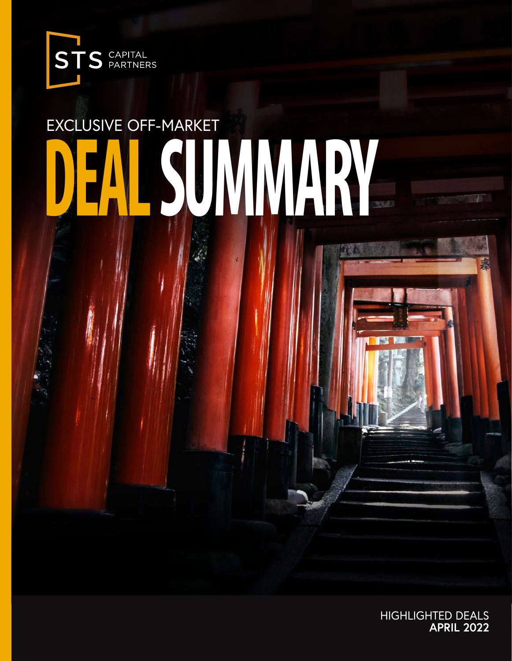

# EXCLUSIVE OFF-MARKET **DEAL SUMMARY**

HIGHLIGHTED DEALS **APRIL 2022**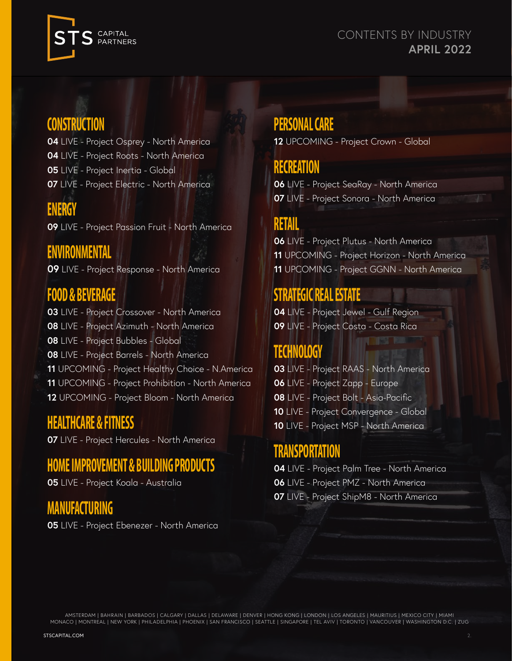



## **CONSTRUCTION**

- LIVE Project Osprey North America LIVE - Project Roots - North America
- LIVE Project Inertia Global
- LIVE Project Electric North America

## **ENERGY**

LIVE - Project Passion Fruit - North America

## **ENVIRONMENTAL**

LIVE - Project Response - North America

## **FOOD & BEVERAGE**

LIVE - Project Crossover - North America LIVE - Project Azimuth - North America LIVE - Project Bubbles - Global LIVE - Project Barrels - North America UPCOMING - Project Healthy Choice - N.America UPCOMING - Project Prohibition - North America UPCOMING - Project Bloom - North America

## **HEALTHCARE & FITNESS**

LIVE - Project Hercules - North America

### **HOME IMPROVEMENT & BUILDING PRODUCTS**

LIVE - Project Koala - Australia

## **MANUFACTURING**

LIVE - Project Ebenezer - North America

## **PERSONAL CARE**

UPCOMING - Project Crown - Global

## **RECREATION**

 LIVE - Project SeaRay - North America LIVE - Project Sonora - North America

## **RETAIL**

 LIVE - Project Plutus - North America UPCOMING - Project Horizon - North America UPCOMING - Project GGNN - North America

## **STRATEGIC REAL ESTATE**

 LIVE - Project Jewel - Gulf Region LIVE - Project Costa - Costa Rica

## **TECHNOLOGY**

 LIVE - Project RAAS - North America LIVE - Project Zapp - Europe LIVE - Project Bolt - Asia-Pacific LIVE - Project Convergence - Global LIVE - Project MSP - North America

## **TRANSPORTATION**

 LIVE - Project Palm Tree - North America LIVE - Project PMZ - North America LIVE - Project ShipM8 - North America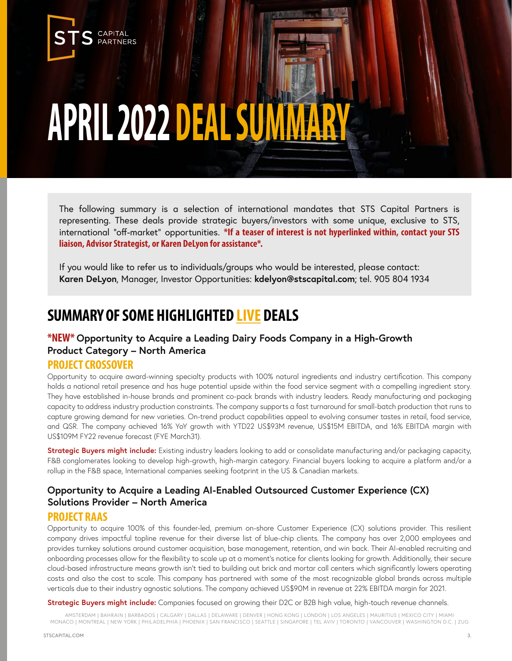## **APRIL 2022 DEAL SUM**

The following summary is a selection of international mandates that STS Capital Partners is representing. These deals provide strategic buyers/investors with some unique, exclusive to STS, international "off-market" opportunities. **\*If a teaser of interest is not hyperlinked within, contact your STS liaison, Advisor Strategist, or Karen DeLyon for assistance\*.**

If you would like to refer us to individuals/groups who would be interested, please contact: **Karen DeLyon**, Manager, Investor Opportunities: **kdelyon@stscapital.com**; tel. 905 804 1934

## **SUMMARY OF SOME HIGHLIGHTED LIVE DEALS**

#### **\*NEW\* Opportunity to Acquire a Leading Dairy Foods Company in a High-Growth Product Category – North America**

#### **PROJECT CROSSOVER**

**CAPITAL PARTNERS** 

Opportunity to acquire award-winning specialty products with 100% natural ingredients and industry certification. This company holds a national retail presence and has huge potential upside within the food service segment with a compelling ingredient story. They have established in-house brands and prominent co-pack brands with industry leaders. Ready manufacturing and packaging capacity to address industry production constraints. The company supports a fast turnaround for small-batch production that runs to capture growing demand for new varieties. On-trend product capabilities appeal to evolving consumer tastes in retail, food service, and QSR. The company achieved 16% YoY growth with YTD22 US\$93M revenue, US\$15M EBITDA, and 16% EBITDA margin with US\$109M FY22 revenue forecast (FYE March31).

**Strategic Buyers might include:** Existing industry leaders looking to add or consolidate manufacturing and/or packaging capacity, F&B conglomerates looking to develop high-growth, high-margin category. Financial buyers looking to acquire a platform and/or a rollup in the F&B space, International companies seeking footprint in the US & Canadian markets.

#### **[Opportunity to Acquire a Leading AI-Enabled Outsourced Customer Experience \(CX\)](https://stscapital.com/wp-content/uploads/2022/01/Project-RaaS-Overview-1.pdf)  Solutions Provider – North America**

#### **PROJECT RAAS**

Opportunity to acquire 100% of this founder-led, premium on-shore Customer Experience (CX) solutions provider. This resilient company drives impactful topline revenue for their diverse list of blue-chip clients. The company has over 2,000 employees and provides turnkey solutions around customer acquisition, base management, retention, and win back. Their AI-enabled recruiting and onboarding processes allow for the flexibility to scale up at a moment's notice for clients looking for growth. Additionally, their secure cloud-based infrastructure means growth isn't tied to building out brick and mortar call centers which significantly lowers operating costs and also the cost to scale. This company has partnered with some of the most recognizable global brands across multiple verticals due to their industry agnostic solutions. The company achieved US\$90M in revenue at 22% EBITDA margin for 2021.

**Strategic Buyers might include:** Companies focused on growing their D2C or B2B high value, high-touch revenue channels.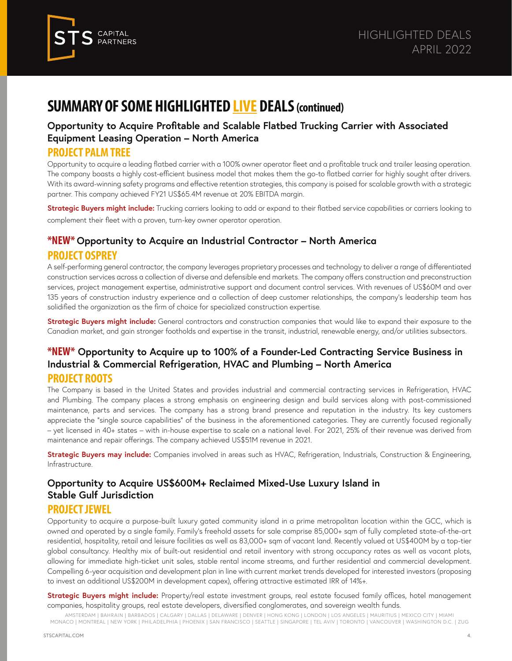

#### **[Opportunity to Acquire Profitable and Scalable Flatbed Trucking Carrier with Associated](https://stscapital.com/wp-content/uploads/2022/01/Project-Palm-Tree-Overview-January-2022.pdf)  Equipment Leasing Operation – North America**

#### **PROJECT PALM TREE**

Opportunity to acquire a leading flatbed carrier with a 100% owner operator fleet and a profitable truck and trailer leasing operation. The company boasts a highly cost-efficient business model that makes them the go-to flatbed carrier for highly sought after drivers. With its award-winning safety programs and effective retention strategies, this company is poised for scalable growth with a strategic partner. This company achieved FY21 US\$65.4M revenue at 20% EBITDA margin.

**Strategic Buyers might include:** Trucking carriers looking to add or expand to their flatbed service capabilities or carriers looking to complement their fleet with a proven, turn-key owner operator operation.

#### **\*NEW\* Opportunity to Acquire an Industrial Contractor – North America PROJECT OSPREY**

A self-performing general contractor, the company leverages proprietary processes and technology to deliver a range of differentiated construction services across a collection of diverse and defensible end markets. The company offers construction and preconstruction services, project management expertise, administrative support and document control services. With revenues of US\$60M and over 135 years of construction industry experience and a collection of deep customer relationships, the company's leadership team has solidified the organization as the firm of choice for specialized construction expertise.

**Strategic Buyers might include:** General contractors and construction companies that would like to expand their exposure to the Canadian market, and gain stronger footholds and expertise in the transit, industrial, renewable energy, and/or utilities subsectors.

#### **\*NEW\* Opportunity to Acquire up to 100% of a Founder-Led Contracting Service Business in Industrial & Commercial Refrigeration, HVAC and Plumbing – North America PROJECT ROOTS**

The Company is based in the United States and provides industrial and commercial contracting services in Refrigeration, HVAC and Plumbing. The company places a strong emphasis on engineering design and build services along with post-commissioned maintenance, parts and services. The company has a strong brand presence and reputation in the industry. Its key customers appreciate the "single source capabilities" of the business in the aforementioned categories. They are currently focused regionally – yet licensed in 40+ states – with in-house expertise to scale on a national level. For 2021, 25% of their revenue was derived from maintenance and repair offerings. The company achieved US\$51M revenue in 2021.

**Strategic Buyers may include:** Companies involved in areas such as HVAC, Refrigeration, Industrials, Construction & Engineering, Infrastructure.

#### **Opportunity to Acquire US\$600M+ Reclaimed Mixed-Use Luxury Island in Stable Gulf Jurisdiction**

#### **PROJECT JEWEL**

Opportunity to acquire a purpose-built luxury gated community island in a prime metropolitan location within the GCC, which is owned and operated by a single family. Family's freehold assets for sale comprise 85,000+ sqm of fully completed state-of-the-art residential, hospitality, retail and leisure facilities as well as 83,000+ sqm of vacant land. Recently valued at US\$400M by a top-tier global consultancy. Healthy mix of built-out residential and retail inventory with strong occupancy rates as well as vacant plots, allowing for immediate high-ticket unit sales, stable rental income streams, and further residential and commercial development. Compelling 6-year acquisition and development plan in line with current market trends developed for interested investors (proposing to invest an additional US\$200M in development capex), offering attractive estimated IRR of 14%+.

**Strategic Buyers might include:** Property/real estate investment groups, real estate focused family offices, hotel management companies, hospitality groups, real estate developers, diversified conglomerates, and sovereign wealth funds.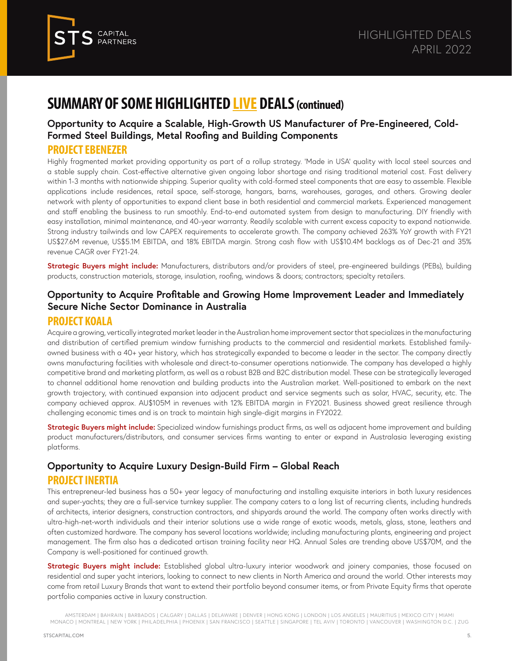

#### **[Opportunity to Acquire a Scalable, High-Growth US Manufacturer of Pre-Engineered, Cold-](https://stscapital.com/wp-content/uploads/2022/01/Project-Ebenezer-Teaser-FL.pdf)Formed Steel Buildings, Metal Roofing and Building Components**

#### **PROJECT EBENEZER**

Highly fragmented market providing opportunity as part of a rollup strategy. 'Made in USA' quality with local steel sources and a stable supply chain. Cost-effective alternative given ongoing labor shortage and rising traditional material cost. Fast delivery within 1-3 months with nationwide shipping. Superior quality with cold-formed steel components that are easy to assemble. Flexible applications include residences, retail space, self-storage, hangars, barns, warehouses, garages, and others. Growing dealer network with plenty of opportunities to expand client base in both residential and commercial markets. Experienced management and staff enabling the business to run smoothly. End-to-end automated system from design to manufacturing. DIY friendly with easy installation, minimal maintenance, and 40-year warranty. Readily scalable with current excess capacity to expand nationwide. Strong industry tailwinds and low CAPEX requirements to accelerate growth. The company achieved 263% YoY growth with FY21 US\$27.6M revenue, US\$5.1M EBITDA, and 18% EBITDA margin. Strong cash flow with US\$10.4M backlogs as of Dec-21 and 35% revenue CAGR over FY21-24.

**Strategic Buyers might include:** Manufacturers, distributors and/or providers of steel, pre-engineered buildings (PEBs), building products, construction materials, storage, insulation, roofing, windows & doors; contractors; specialty retailers.

#### **[Opportunity to Acquire Profitable and Growing Home Improvement Leader and Immediately](https://stscapital.com/wp-content/uploads/2022/03/Project-Koala_Teaser-March-2022.pdf)  Secure Niche Sector Dominance in Australia**

#### **PROJECT KOALA**

Acquire a growing, vertically integrated market leader in the Australian home improvement sector that specializes in the manufacturing and distribution of certified premium window furnishing products to the commercial and residential markets. Established familyowned business with a 40+ year history, which has strategically expanded to become a leader in the sector. The company directly owns manufacturing facilities with wholesale and direct-to-consumer operations nationwide. The company has developed a highly competitive brand and marketing platform, as well as a robust B2B and B2C distribution model. These can be strategically leveraged to channel additional home renovation and building products into the Australian market. Well-positioned to embark on the next growth trajectory, with continued expansion into adjacent product and service segments such as solar, HVAC, security, etc. The company achieved approx. AU\$105M in revenues with 12% EBITDA margin in FY2021. Business showed great resilience through challenging economic times and is on track to maintain high single-digit margins in FY2022.

**Strategic Buyers might include:** Specialized window furnishings product firms, as well as adjacent home improvement and building product manufacturers/distributors, and consumer services firms wanting to enter or expand in Australasia leveraging existing platforms.

#### **[Opportunity to Acquire Luxury Design-Build Firm – Global Reach](https://stscapital.com/wp-content/uploads/2022/01/Project-Inertia-Teaser-01.2021.pdf)  PROJECT INERTIA**

This entrepreneur-led business has a 50+ year legacy of manufacturing and installing exquisite interiors in both luxury residences and super-yachts; they are a full-service turnkey supplier. The company caters to a long list of recurring clients, including hundreds of architects, interior designers, construction contractors, and shipyards around the world. The company often works directly with ultra-high-net-worth individuals and their interior solutions use a wide range of exotic woods, metals, glass, stone, leathers and often customized hardware. The company has several locations worldwide; including manufacturing plants, engineering and project management. The firm also has a dedicated artisan training facility near HQ. Annual Sales are trending above US\$70M, and the Company is well-positioned for continued growth.

**Strategic Buyers might include:** Established global ultra-luxury interior woodwork and joinery companies, those focused on residential and super yacht interiors, looking to connect to new clients in North America and around the world. Other interests may come from retail Luxury Brands that want to extend their portfolio beyond consumer items, or from Private Equity firms that operate portfolio companies active in luxury construction.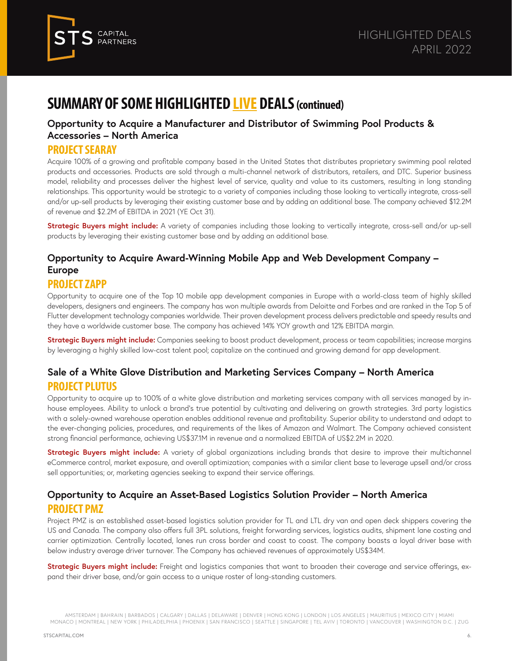

#### **[Opportunity to Acquire a Manufacturer and Distributor of Swimming Pool Products &](https://stscapital.com/wp-content/uploads/2022/01/Project-SeaRay-Teaser-Dec-2021.pdf)  Accessories – North America**

#### **PROJECT SEARAY**

Acquire 100% of a growing and profitable company based in the United States that distributes proprietary swimming pool related products and accessories. Products are sold through a multi-channel network of distributors, retailers, and DTC. Superior business model, reliability and processes deliver the highest level of service, quality and value to its customers, resulting in long standing relationships. This opportunity would be strategic to a variety of companies including those looking to vertically integrate, cross-sell and/or up-sell products by leveraging their existing customer base and by adding an additional base. The company achieved \$12.2M of revenue and \$2.2M of EBITDA in 2021 (YE Oct 31).

**Strategic Buyers might include:** A variety of companies including those looking to vertically integrate, cross-sell and/or up-sell products by leveraging their existing customer base and by adding an additional base.

#### **[Opportunity to Acquire Award-Winning Mobile App and Web Development Company –](https://stscapital.com/wp-content/uploads/2022/01/Project-Zapp-Teaser-01.2022.pdf)  Europe**

#### **PROJECT ZAPP**

Opportunity to acquire one of the Top 10 mobile app development companies in Europe with a world-class team of highly skilled developers, designers and engineers. The company has won multiple awards from Deloitte and Forbes and are ranked in the Top 5 of Flutter development technology companies worldwide. Their proven development process delivers predictable and speedy results and they have a worldwide customer base. The company has achieved 14% YOY growth and 12% EBITDA margin.

**Strategic Buyers might include:** Companies seeking to boost product development, process or team capabilities; increase margins by leveraging a highly skilled low-cost talent pool; capitalize on the continued and growing demand for app development.

#### **[Sale of a White Glove Distribution and Marketing Services Company – North America](https://stscapital.com/wp-content/uploads/2022/01/Project-Plutus-teaser-January-2022.pdf)  PROJECT PLUTUS**

Opportunity to acquire up to 100% of a white glove distribution and marketing services company with all services managed by inhouse employees. Ability to unlock a brand's true potential by cultivating and delivering on growth strategies. 3rd party logistics with a solely-owned warehouse operation enables additional revenue and profitability. Superior ability to understand and adapt to the ever-changing policies, procedures, and requirements of the likes of Amazon and Walmart. The Company achieved consistent strong financial performance, achieving US\$37.1M in revenue and a normalized EBITDA of US\$2.2M in 2020.

**Strategic Buyers might include:** A variety of global organizations including brands that desire to improve their multichannel eCommerce control, market exposure, and overall optimization; companies with a similar client base to leverage upsell and/or cross sell opportunities; or, marketing agencies seeking to expand their service offerings.

#### **[Opportunity to Acquire an Asset-Based Logistics Solution Provider – North America](https://stscapital.com/wp-content/uploads/2022/01/Project-PMZ-Overview-June-2021.pdf)  PROJECT PMZ**

Project PMZ is an established asset-based logistics solution provider for TL and LTL dry van and open deck shippers covering the US and Canada. The company also offers full 3PL solutions, freight forwarding services, logistics audits, shipment lane costing and carrier optimization. Centrally located, lanes run cross border and coast to coast. The company boasts a loyal driver base with below industry average driver turnover. The Company has achieved revenues of approximately US\$34M.

**Strategic Buyers might include:** Freight and logistics companies that want to broaden their coverage and service offerings, expand their driver base, and/or gain access to a unique roster of long-standing customers.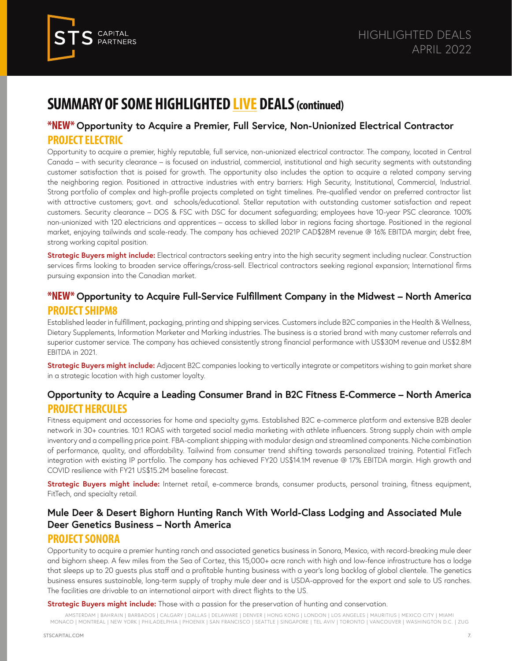

#### **\*NEW\* [Opportunity to Acquire a Premier, Full Service, Non-Unionized Electrical Contractor](https://stscapital.com/wp-content/uploads/2022/03/Project-Electric-Teaser-FINAL-Feb02.pdf) PROJECT ELECTRIC**

Opportunity to acquire a premier, highly reputable, full service, non-unionized electrical contractor. The company, located in Central Canada – with security clearance – is focused on industrial, commercial, institutional and high security segments with outstanding customer satisfaction that is poised for growth. The opportunity also includes the option to acquire a related company serving the neighboring region. Positioned in attractive industries with entry barriers: High Security, Institutional, Commercial, Industrial. Strong portfolio of complex and high-profile projects completed on tight timelines. Pre-qualified vendor on preferred contractor list with attractive customers; govt. and schools/educational. Stellar reputation with outstanding customer satisfaction and repeat customers. Security clearance – DOS & FSC with DSC for document safeguarding; employees have 10-year PSC clearance. 100% non-unionized with 120 electricians and apprentices – access to skilled labor in regions facing shortage. Positioned in the regional market, enjoying tailwinds and scale-ready. The company has achieved 2021P CAD\$28M revenue @ 16% EBITDA margin; debt free, strong working capital position.

**Strategic Buyers might include:** Electrical contractors seeking entry into the high security segment including nuclear. Construction services firms looking to broaden service offerings/cross-sell. Electrical contractors seeking regional expansion; International firms pursuing expansion into the Canadian market.

#### **\*NEW\* [Opportunity to Acquire Full-Service Fulfillment Company in the Midwest – North America](https://stscapital.com/wp-content/uploads/2022/03/Project-ShipM8-Teaser.pdf) PROJECT SHIPM8**

Established leader in fulfillment, packaging, printing and shipping services. Customers include B2C companies in the Health & Wellness, Dietary Supplements, Information Marketer and Marking industries. The business is a storied brand with many customer referrals and superior customer service. The company has achieved consistently strong financial performance with US\$30M revenue and US\$2.8M EBITDA in 2021.

**Strategic Buyers might include:** Adjacent B2C companies looking to vertically integrate or competitors wishing to gain market share in a strategic location with high customer loyalty.

#### **[Opportunity to Acquire a Leading Consumer Brand in B2C Fitness E-Commerce](https://stscapital.com/wp-content/uploads/2022/01/Project-Hercules-Teaser.pdf) – North America PROJECT HERCULES**

Fitness equipment and accessories for home and specialty gyms. Established B2C e-commerce platform and extensive B2B dealer network in 30+ countries. 10:1 ROAS with targeted social media marketing with athlete influencers. Strong supply chain with ample inventory and a compelling price point. FBA-compliant shipping with modular design and streamlined components. Niche combination of performance, quality, and affordability. Tailwind from consumer trend shifting towards personalized training. Potential FitTech integration with existing IP portfolio. The company has achieved FY20 US\$14.1M revenue @ 17% EBITDA margin. High growth and COVID resilience with FY21 US\$15.2M baseline forecast.

**Strategic Buyers might include:** Internet retail, e-commerce brands, consumer products, personal training, fitness equipment, FitTech, and specialty retail.

#### **[Mule Deer & Desert Bighorn Hunting Ranch With World-Class Lodging and Associated Mule](https://stscapital.com/wp-content/uploads/2022/01/Project-Sonora-Syndicate-Overview.pdf)  Deer Genetics Business – North America**

#### **PROJECT SONORA**

Opportunity to acquire a premier hunting ranch and associated genetics business in Sonora, Mexico, with record-breaking mule deer and bighorn sheep. A few miles from the Sea of Cortez, this 15,000+ acre ranch with high and low-fence infrastructure has a lodge that sleeps up to 20 guests plus staff and a profitable hunting business with a year's long backlog of global clientele. The genetics business ensures sustainable, long-term supply of trophy mule deer and is USDA-approved for the export and sale to US ranches. The facilities are drivable to an international airport with direct flights to the US.

**Strategic Buyers might include:** Those with a passion for the preservation of hunting and conservation.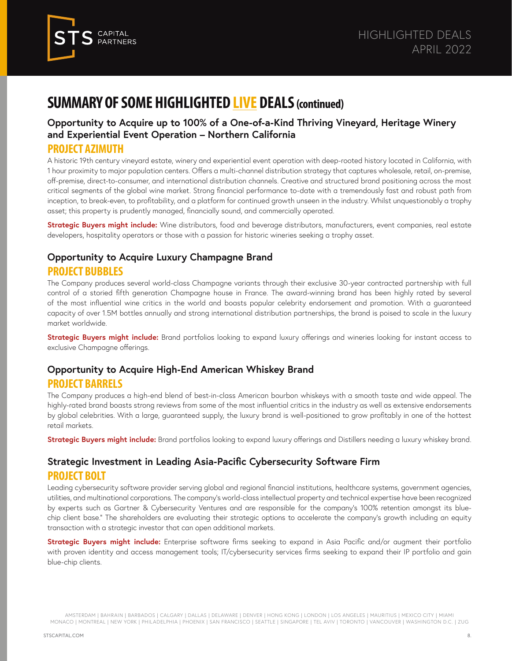

#### **[Opportunity to Acquire up to 100% of a One-of-a-Kind Thriving Vineyard, Heritage Winery](https://stscapital.com/wp-content/uploads/2022/01/Azimuth-Teaser-Dec-2021-1.pdf)  and Experiential Event Operation – Northern California**

#### **PROJECT AZIMUTH**

A historic 19th century vineyard estate, winery and experiential event operation with deep-rooted history located in California, with 1 hour proximity to major population centers. Offers a multi-channel distribution strategy that captures wholesale, retail, on-premise, off-premise, direct-to-consumer, and international distribution channels. Creative and structured brand positioning across the most critical segments of the global wine market. Strong financial performance to-date with a tremendously fast and robust path from inception, to break-even, to profitability, and a platform for continued growth unseen in the industry. Whilst unquestionably a trophy asset; this property is prudently managed, financially sound, and commercially operated.

**Strategic Buyers might include:** Wine distributors, food and beverage distributors, manufacturers, event companies, real estate developers, hospitality operators or those with a passion for historic wineries seeking a trophy asset.

#### **[Opportunity to Acquire Luxury Champagne Brand](https://stscapital.com/wp-content/uploads/2022/01/Project-Bubbles-Teaser.pdf) PROJECT BUBBLES**

The Company produces several world-class Champagne variants through their exclusive 30-year contracted partnership with full control of a storied fifth generation Champagne house in France. The award-winning brand has been highly rated by several of the most influential wine critics in the world and boasts popular celebrity endorsement and promotion. With a guaranteed capacity of over 1.5M bottles annually and strong international distribution partnerships, the brand is poised to scale in the luxury market worldwide.

**Strategic Buyers might include:** Brand portfolios looking to expand luxury offerings and wineries looking for instant access to exclusive Champagne offerings.

#### **[Opportunity to Acquire High-End American Whiskey Brand](https://stscapital.com/wp-content/uploads/2022/01/Project-Barrels-Teaser.pdf)**

#### **PROJECT BARRELS**

The Company produces a high-end blend of best-in-class American bourbon whiskeys with a smooth taste and wide appeal. The highly-rated brand boasts strong reviews from some of the most influential critics in the industry as well as extensive endorsements by global celebrities. With a large, guaranteed supply, the luxury brand is well-positioned to grow profitably in one of the hottest retail markets.

**Strategic Buyers might include:** Brand portfolios looking to expand luxury offerings and Distillers needing a luxury whiskey brand.

#### **[Strategic Investment in Leading Asia-Pacific Cybersecurity Software Firm](https://stscapital.com/wp-content/uploads/2022/01/Project-Bolt-Overview-January-2022.pdf) PROJECT BOLT**

Leading cybersecurity software provider serving global and regional financial institutions, healthcare systems, government agencies, utilities, and multinational corporations. The company's world-class intellectual property and technical expertise have been recognized by experts such as Gartner & Cybersecurity Ventures and are responsible for the company's 100% retention amongst its bluechip client base." The shareholders are evaluating their strategic options to accelerate the company's growth including an equity transaction with a strategic investor that can open additional markets.

**Strategic Buyers might include:** Enterprise software firms seeking to expand in Asia Pacific and/or augment their portfolio with proven identity and access management tools; IT/cybersecurity services firms seeking to expand their IP portfolio and gain blue-chip clients.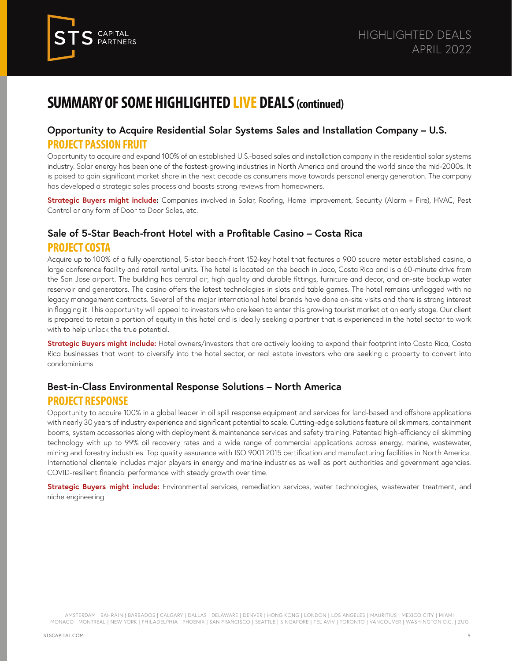

#### **[Opportunity to Acquire Residential Solar Systems Sales and Installation Company – U.S.](https://stscapital.com/wp-content/uploads/2022/01/Project-North-Teaser-v5.pdf) PROJECT PASSION FRUIT**

Opportunity to acquire and expand 100% of an established U.S.-based sales and installation company in the residential solar systems industry. Solar energy has been one of the fastest-growing industries in North America and around the world since the mid-2000s. It is poised to gain significant market share in the next decade as consumers move towards personal energy generation. The company has developed a strategic sales process and boasts strong reviews from homeowners.

**Strategic Buyers might include:** Companies involved in Solar, Roofing, Home Improvement, Security (Alarm + Fire), HVAC, Pest Control or any form of Door to Door Sales, etc.

#### **Sale of 5-Star Beach-front Hotel with a Profitable Casino – Costa Rica PROJECT COSTA**

[Acquire up to 100% of a fully operational, 5-star beach-front 152-key hotel that features a 900 square meter established casino, a](https://stscapital.com/wp-content/uploads/2022/01/Project-Passion-Fruit-Teaser-Final.pdf)  large conference facility and retail rental units. The hotel is located on the beach in Jaco, Costa Rica and is a 60-minute drive from the San Jose airport. The building has central air, high quality and durable fittings, furniture and decor, and on-site backup water reservoir and generators. The casino offers the latest technologies in slots and table games. The hotel remains unflagged with no legacy management contracts. Several of the major international hotel brands have done on-site visits and there is strong interest in flagging it. This opportunity will appeal to investors who are keen to enter this growing tourist market at an early stage. Our client is prepared to retain a portion of equity in this hotel and is ideally seeking a partner that is experienced in the hotel sector to work with to help unlock the true potential.

**Strategic Buyers might include:** Hotel owners/investors that are actively looking to expand their footprint into Costa Rica, Costa [Rica businesses that want to diversify into the hotel sector, or real estate investors who are seeking a property to convert into](https://stscapital.com/wp-content/uploads/2022/01/Project-Costa-Teaser-21.09.21.pdf)  condominiums.

#### **Best-in-Class Environmental Response Solutions – North America PROJECT RESPONSE**

Opportunity to acquire 100% in a global leader in oil spill response equipment and services for land-based and offshore applications with nearly 30 years of industry experience and significant potential to scale. Cutting-edge solutions feature oil skimmers, containment booms, system accessories along with deployment & maintenance services and safety training. Patented high-efficiency oil skimming technology with up to 99% oil recovery rates and a wide range of commercial applications across energy, marine, wastewater, mining and forestry industries. Top quality assurance with ISO 9001:2015 certification and manufacturing facilities in North America. International clientele includes major players in energy and marine industries as well as port authorities and government agencies. COVID-resilient financial performance with steady growth over time.

**Strategic Buyers might include:** [Environmental services, remediation services, water technologies, wastewater treatment, and](https://stscapital.com/wp-content/uploads/2022/01/Project-Response-Teaser.pdf)  niche engineering.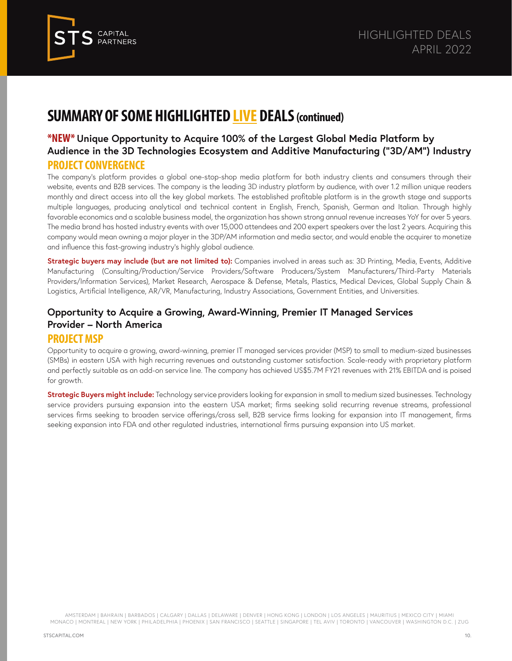

#### **\*NEW\* Unique Opportunity to Acquire 100% of the Largest Global Media Platform by [Audience in the 3D Technologies Ecosystem and Additive Manufacturing \("3D/AM"\) Industry](https://stscapital.com/wp-content/uploads/2022/03/Project-Convergence-Teaser-032422.pdf) PROJECT CONVERGENCE**

The company's platform provides a global one-stop-shop media platform for both industry clients and consumers through their website, events and B2B services. The company is the leading 3D industry platform by audience, with over 1.2 million unique readers monthly and direct access into all the key global markets. The established profitable platform is in the growth stage and supports multiple languages, producing analytical and technical content in English, French, Spanish, German and Italian. Through highly favorable economics and a scalable business model, the organization has shown strong annual revenue increases YoY for over 5 years. The media brand has hosted industry events with over 15,000 attendees and 200 expert speakers over the last 2 years. Acquiring this company would mean owning a major player in the 3DP/AM information and media sector, and would enable the acquirer to monetize and influence this fast-growing industry's highly global audience.

**Strategic buyers may include (but are not limited to):** Companies involved in areas such as: 3D Printing, Media, Events, Additive Manufacturing (Consulting/Production/Service Providers/Software Producers/System Manufacturers/Third-Party Materials Providers/Information Services), Market Research, Aerospace & Defense, Metals, Plastics, Medical Devices, Global Supply Chain & Logistics, Artificial Intelligence, AR/VR, Manufacturing, Industry Associations, Government Entities, and Universities.

#### **Opportunity to Acquire a Growing, Award-Winning, Premier IT Managed Services Provider – North America**

#### **PROJECT MSP**

Opportunity to acquire a growing, award-winning, premier IT managed services provider (MSP) to small to medium-sized businesses (SMBs) in eastern USA with high recurring revenues and outstanding customer satisfaction. Scale-ready with proprietary platform and perfectly suitable as an add-on service line. The company has achieved US\$5.7M FY21 revenues with 21% EBITDA and is poised for growth.

**Strategic Buyers might include:** Technology service providers looking for expansion in small to medium sized businesses. Technology service providers pursuing expansion into the eastern USA market; firms seeking solid recurring revenue streams, professional services firms seeking to broaden service offerings/cross sell, B2B service firms looking for expansion into IT management, firms seeking expansion into FDA and other regulated industries, international firms pursuing expansion into US market.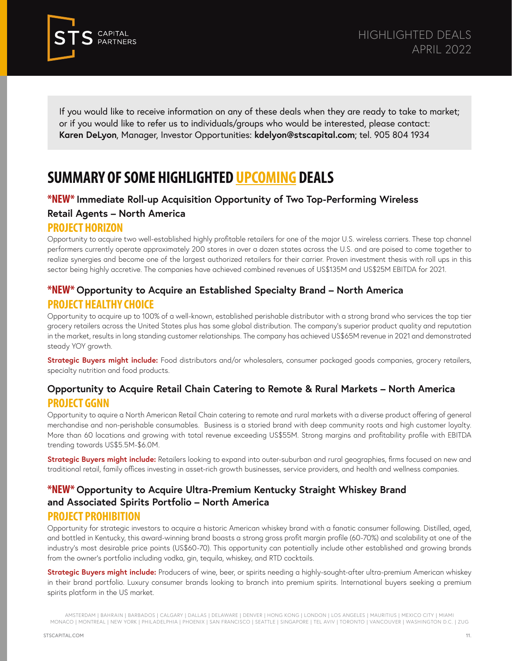

If you would like to receive information on any of these deals when they are ready to take to market; or if you would like to refer us to individuals/groups who would be interested, please contact: **Karen DeLyon**, Manager, Investor Opportunities: **kdelyon@stscapital.com**; tel. 905 804 1934

## **SUMMARY OF SOME HIGHLIGHTED UPCOMING DEALS**

#### **\*NEW\* Immediate Roll-up Acquisition Opportunity of Two Top-Performing Wireless Retail Agents – North America**

#### **PROJECT HORIZON**

Opportunity to acquire two well-established highly profitable retailers for one of the major U.S. wireless carriers. These top channel performers currently operate approximately 200 stores in over a dozen states across the U.S. and are poised to come together to realize synergies and become one of the largest authorized retailers for their carrier. Proven investment thesis with roll ups in this sector being highly accretive. The companies have achieved combined revenues of US\$135M and US\$25M EBITDA for 2021.

#### **\*NEW\* Opportunity to Acquire an Established Specialty Brand – North America PROJECT HEALTHY CHOICE**

Opportunity to acquire up to 100% of a well-known, established perishable distributor with a strong brand who services the top tier grocery retailers across the United States plus has some global distribution. The company's superior product quality and reputation in the market, results in long standing customer relationships. The company has achieved US\$65M revenue in 2021 and demonstrated steady YOY growth.

**Strategic Buyers might include:** Food distributors and/or wholesalers, consumer packaged goods companies, grocery retailers, specialty nutrition and food products.

#### **Opportunity to Acquire Retail Chain Catering to Remote & Rural Markets – North America PROJECT GGNN**

Opportunity to aquire a North American Retail Chain catering to remote and rural markets with a diverse product offering of general merchandise and non-perishable consumables. Business is a storied brand with deep community roots and high customer loyalty. More than 60 locations and growing with total revenue exceeding US\$55M. Strong margins and profitability profile with EBITDA trending towards US\$5.5M-\$6.0M.

**Strategic Buyers might include:** Retailers looking to expand into outer-suburban and rural geographies, firms focused on new and traditional retail, family offices investing in asset-rich growth businesses, service providers, and health and wellness companies.

#### **\*NEW\* Opportunity to Acquire Ultra-Premium Kentucky Straight Whiskey Brand and Associated Spirits Portfolio – North America PROJECT PROHIBITION**

Opportunity for strategic investors to acquire a historic American whiskey brand with a fanatic consumer following. Distilled, aged, and bottled in Kentucky, this award-winning brand boasts a strong gross profit margin profile (60-70%) and scalability at one of the industry's most desirable price points (US\$60-70). This opportunity can potentially include other established and growing brands from the owner's portfolio including vodka, gin, tequila, whiskey, and RTD cocktails.

**Strategic Buyers might include:** Producers of wine, beer, or spirits needing a highly-sought-after ultra-premium American whiskey in their brand portfolio. Luxury consumer brands looking to branch into premium spirits. International buyers seeking a premium spirits platform in the US market.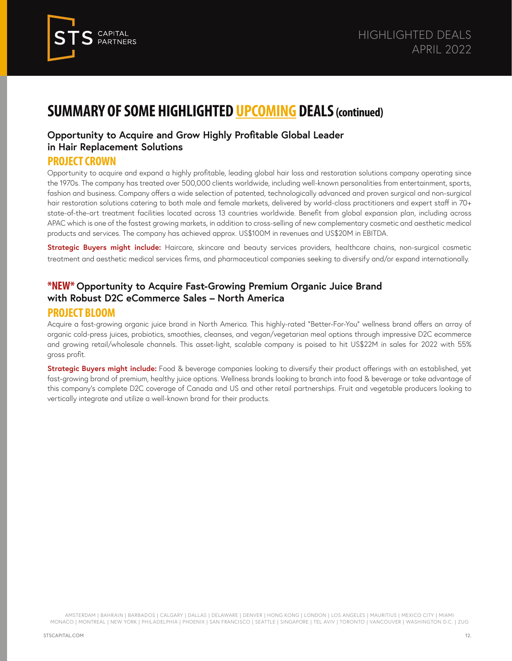

#### **Opportunity to Acquire and Grow Highly Profitable Global Leader in Hair Replacement Solutions**

#### **PROJECT CROWN**

Opportunity to acquire and expand a highly profitable, leading global hair loss and restoration solutions company operating since the 1970s. The company has treated over 500,000 clients worldwide, including well-known personalities from entertainment, sports, fashion and business. Company offers a wide selection of patented, technologically advanced and proven surgical and non-surgical hair restoration solutions catering to both male and female markets, delivered by world-class practitioners and expert staff in 70+ state-of-the-art treatment facilities located across 13 countries worldwide. Benefit from global expansion plan, including across APAC which is one of the fastest growing markets, in addition to cross-selling of new complementary cosmetic and aesthetic medical products and services. The company has achieved approx. US\$100M in revenues and US\$20M in EBITDA.

**Strategic Buyers might include:** Haircare, skincare and beauty services providers, healthcare chains, non-surgical cosmetic treatment and aesthetic medical services firms, and pharmaceutical companies seeking to diversify and/or expand internationally.

#### **\*NEW\* Opportunity to Acquire Fast-Growing Premium Organic Juice Brand with Robust D2C eCommerce Sales – North America PROJECT BLOOM**

#### Acquire a fast-growing organic juice brand in North America. This highly-rated "Better-For-You" wellness brand offers an array of organic cold-press juices, probiotics, smoothies, cleanses, and vegan/vegetarian meal options through impressive D2C ecommerce and growing retail/wholesale channels. This asset-light, scalable company is poised to hit US\$22M in sales for 2022 with 55% gross profit.

**Strategic Buyers might include:** Food & beverage companies looking to diversify their product offerings with an established, yet fast-growing brand of premium, healthy juice options. Wellness brands looking to branch into food & beverage or take advantage of this company's complete D2C coverage of Canada and US and other retail partnerships. Fruit and vegetable producers looking to vertically integrate and utilize a well-known brand for their products.